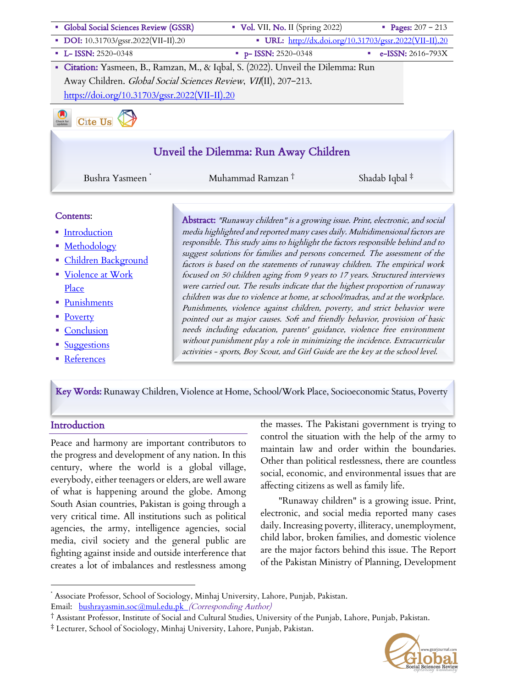| • Global Social Sciences Review (GSSR)                                           | Vol. VII, No. II (Spring 2022)                         | • Pages: $207 - 213$ |                   |
|----------------------------------------------------------------------------------|--------------------------------------------------------|----------------------|-------------------|
| • DOI: 10.31703/gssr.2022(VII-II).20                                             | • URL: http://dx.doi.org/10.31703/gssr.2022(VII-II).20 |                      |                   |
| $-L-$ ISSN: 2520-0348                                                            | $p-$ ISSN: 2520-0348                                   | a.                   | e-ISSN: 2616-793X |
| · Citation: Yasmeen, B., Ramzan, M., & Iqbal, S. (2022). Unveil the Dilemma: Run |                                                        |                      |                   |
| Away Children. Global Social Sciences Review, VII(II), 207-213.                  |                                                        |                      |                   |
| https://doi.org/10.31703/gssr.2022(VII-II).20                                    |                                                        |                      |                   |
| <b>Cite Us</b><br>Check for<br>undates                                           |                                                        |                      |                   |
|                                                                                  |                                                        |                      |                   |
|                                                                                  | Unveil the Dilemma: Run Away Children                  |                      |                   |

Bushra Yasmeen \* Muhammad Ramzan <sup>†</sup> Shadab Iqbal <sup>‡</sup>

#### Contents:

- Introduction
- Methodology
- § Children Background
- § Violence at Work Place
- § Punishments
- Poverty
- Conclusion
- Suggestions
- References

Abstract: "Runaway children" is a growing issue. Print, electronic, and social media highlighted and reported many cases daily. Multidimensional factors are responsible. This study aims to highlight the factors responsible behind and to suggest solutions for families and persons concerned. The assessment of the factors is based on the statements of runaway children. The empirical work focused on 50 children aging from 9 years to 17 years. Structured interviews were carried out. The results indicate that the highest proportion of runaway children was due to violence at home, at school/madras, and at the workplace. Punishments, violence against children, poverty, and strict behavior were pointed out as major causes. Soft and friendly behavior, provision of basic needs including education, parents' guidance, violence free environment without punishment play a role in minimizing the incidence. Extracurricular activities - sports, Boy Scout, and Girl Guide are the key at the school level.

Key Words: Runaway Children, Violence at Home, School/Work Place, Socioeconomic Status, Poverty

#### **Introduction**

Į

Peace and harmony are important contributors to the progress and development of any nation. In this century, where the world is a global village, everybody, either teenagers or elders, are well aware of what is happening around the globe. Among South Asian countries, Pakistan is going through a very critical time. All institutions such as political agencies, the army, intelligence agencies, social media, civil society and the general public are fighting against inside and outside interference that creates a lot of imbalances and restlessness among the masses. The Pakistani government is trying to control the situation with the help of the army to maintain law and order within the boundaries. Other than political restlessness, there are countless social, economic, and environmental issues that are affecting citizens as well as family life.

"Runaway children" is a growing issue. Print, electronic, and social media reported many cases daily. Increasing poverty, illiteracy, unemployment, child labor, broken families, and domestic violence are the major factors behind this issue. The Report of the Pakistan Ministry of Planning, Development



Associate Professor, School of Sociology, Minhaj University, Lahore, Punjab, Pakistan. Email: bushrayasmin.soc@mul.edu.pk (Corresponding Author)

<sup>†</sup> Assistant Professor, Institute of Social and Cultural Studies, University of the Punjab, Lahore, Punjab, Pakistan.

<sup>‡</sup> Lecturer, School of Sociology, Minhaj University, Lahore, Punjab, Pakistan.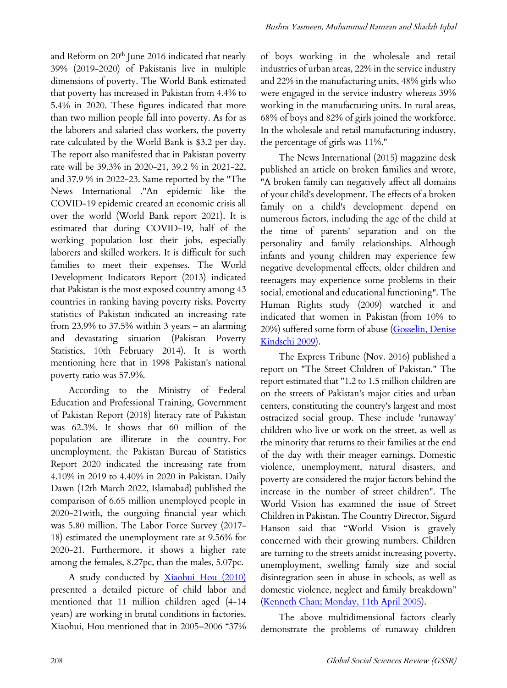and Reform on  $20<sup>th</sup>$  June 2016 indicated that nearly 39% (2019-2020) of Pakistanis live in multiple dimensions of poverty. The World Bank estimated that poverty has increased in Pakistan from 4.4% to 5.4% in 2020. These figures indicated that more than two million people fall into poverty. As for as the laborers and salaried class workers, the poverty rate calculated by the World Bank is \$3.2 per day. The report also manifested that in Pakistan poverty rate will be 39.3% in 2020-21, 39.2 % in 2021-22, and 37.9 % in 2022-23. Same reported by the "The News International ."An epidemic like the COVID-19 epidemic created an economic crisis all over the world (World Bank report 2021). It is estimated that during COVID-19, half of the working population lost their jobs, especially laborers and skilled workers. It is difficult for such families to meet their expenses. The World Development Indicators Report (2013) indicated that Pakistan is the most exposed country among 43 countries in ranking having poverty risks. Poverty statistics of Pakistan indicated an increasing rate from 23.9% to 37.5% within 3 years – an alarming and devastating situation (Pakistan Poverty Statistics, 10th February 2014). It is worth mentioning here that in 1998 Pakistan's national poverty ratio was 57.9%.

According to the Ministry of Federal Education and Professional Training, Government of Pakistan Report (2018) literacy rate of Pakistan was 62.3%. It shows that 60 million of the population are illiterate in the country. For unemployment, the Pakistan Bureau of Statistics Report 2020 indicated the increasing rate from 4.10% in 2019 to 4.40% in 2020 in Pakistan. Daily Dawn (12th March 2022, Islamabad) published the comparison of 6.65 million unemployed people in 2020-21with, the outgoing financial year which was 5.80 million. The Labor Force Survey (2017- 18) estimated the unemployment rate at 9.56% for 2020-21. Furthermore, it shows a higher rate among the females, 8.27pc, than the males, 5.07pc.

A study conducted by **Xiaohui Hou** (2010) presented a detailed picture of child labor and mentioned that 11 million children aged (4-14 years) are working in brutal conditions in factories. Xiaohui, Hou mentioned that in 2005–2006 "37%

Bushra Yasmeen, Muhammad Ramzan and Shadab Iqbal

of boys working in the wholesale and retail industries of urban areas, 22% in the service industry and 22% in the manufacturing units, 48% girls who were engaged in the service industry whereas 39% working in the manufacturing units. In rural areas, 68% of boys and 82% of girls joined the workforce. In the wholesale and retail manufacturing industry, the percentage of girls was 11%."

The News International (2015) magazine desk published an article on broken families and wrote, "A broken family can negatively affect all domains of your child's development. The effects of a broken family on a child's development depend on numerous factors, including the age of the child at the time of parents' separation and on the personality and family relationships. Although infants and young children may experience few negative developmental effects, older children and teenagers may experience some problems in their social, emotional and educational functioning". The Human Rights study (2009) watched it and indicated that women in Pakistan (from 10% to 20%) suffered some form of abuse (Gosselin, Denise Kindschi 2009).

The Express Tribune (Nov. 2016) published a report on "The Street Children of Pakistan." The report estimated that "1.2 to 1.5 million children are on the streets of Pakistan's major cities and urban centers, constituting the country's largest and most ostracized social group. These include 'runaway' children who live or work on the street, as well as the minority that returns to their families at the end of the day with their meager earnings. Domestic violence, unemployment, natural disasters, and poverty are considered the major factors behind the increase in the number of street children". The World Vision has examined the issue of Street Children in Pakistan. The Country Director, Sigurd Hanson said that "World Vision is gravely concerned with their growing numbers. Children are turning to the streets amidst increasing poverty, unemployment, swelling family size and social disintegration seen in abuse in schools, as well as domestic violence, neglect and family breakdown" (Kenneth Chan; Monday, 11th April 2005).

The above multidimensional factors clearly demonstrate the problems of runaway children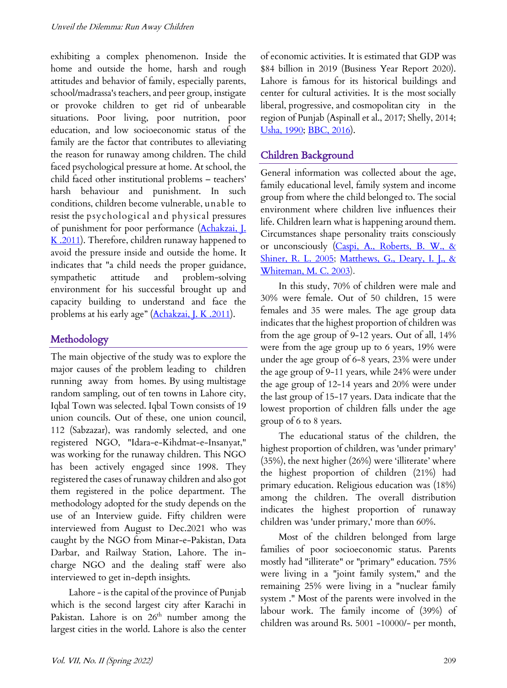exhibiting a complex phenomenon. Inside the home and outside the home, harsh and rough attitudes and behavior of family, especially parents, school/madrassa's teachers, and peer group, instigate or provoke children to get rid of unbearable situations. Poor living, poor nutrition, poor education, and low socioeconomic status of the family are the factor that contributes to alleviating the reason for runaway among children. The child faced psychological pressure at home. At school, the child faced other institutional problems – teachers' harsh behaviour and punishment. In such conditions, children become vulnerable, unable to resist the psychological and physical pressures of punishment for poor performance (Achakzai, J.  $K$  .2011). Therefore, children runaway happened to avoid the pressure inside and outside the home. It indicates that "a child needs the proper guidance, sympathetic attitude and problem-solving environment for his successful brought up and capacity building to understand and face the problems at his early age" (Achakzai, J. K .2011).

# Methodology

The main objective of the study was to explore the major causes of the problem leading to children running away from homes. By using multistage random sampling, out of ten towns in Lahore city, Iqbal Town was selected. Iqbal Town consists of 19 union councils. Out of these, one union council, 112 (Sabzazar), was randomly selected, and one registered NGO, "Idara-e-Kihdmat-e-Insanyat," was working for the runaway children. This NGO has been actively engaged since 1998. They registered the cases of runaway children and also got them registered in the police department. The methodology adopted for the study depends on the use of an Interview guide. Fifty children were interviewed from August to Dec.2021 who was caught by the NGO from Minar-e-Pakistan, Data Darbar, and Railway Station, Lahore. The incharge NGO and the dealing staff were also interviewed to get in-depth insights.

Lahore - is the capital of the province of Punjab which is the second largest city after Karachi in Pakistan. Lahore is on  $26<sup>th</sup>$  number among the largest cities in the world. Lahore is also the center

of economic activities. It is estimated that GDP was \$84 billion in 2019 (Business Year Report 2020). Lahore is famous for its historical buildings and center for cultural activities. It is the most socially liberal, progressive, and cosmopolitan city in the region of Punjab (Aspinall et al., 2017; Shelly, 2014; Usha, 1990; BBC, 2016).

# Children Background

General information was collected about the age, family educational level, family system and income group from where the child belonged to. The social environment where children live influences their life. Children learn what is happening around them. Circumstances shape personality traits consciously or unconsciously (Caspi, A., Roberts, B. W., & Shiner, R. L. 2005; Matthews, G., Deary, I. J., & Whiteman, M. C. 2003).

In this study, 70% of children were male and 30% were female. Out of 50 children, 15 were females and 35 were males. The age group data indicates that the highest proportion of children was from the age group of 9-12 years. Out of all, 14% were from the age group up to 6 years, 19% were under the age group of 6-8 years, 23% were under the age group of 9-11 years, while 24% were under the age group of 12-14 years and 20% were under the last group of 15-17 years. Data indicate that the lowest proportion of children falls under the age group of 6 to 8 years.

The educational status of the children, the highest proportion of children, was 'under primary' (35%), the next higher (26%) were 'illiterate' where the highest proportion of children (21%) had primary education. Religious education was (18%) among the children. The overall distribution indicates the highest proportion of runaway children was 'under primary,' more than 60%.

Most of the children belonged from large families of poor socioeconomic status. Parents mostly had "illiterate" or "primary" education. 75% were living in a "joint family system," and the remaining 25% were living in a "nuclear family system ." Most of the parents were involved in the labour work. The family income of (39%) of children was around Rs. 5001 -10000/- per month,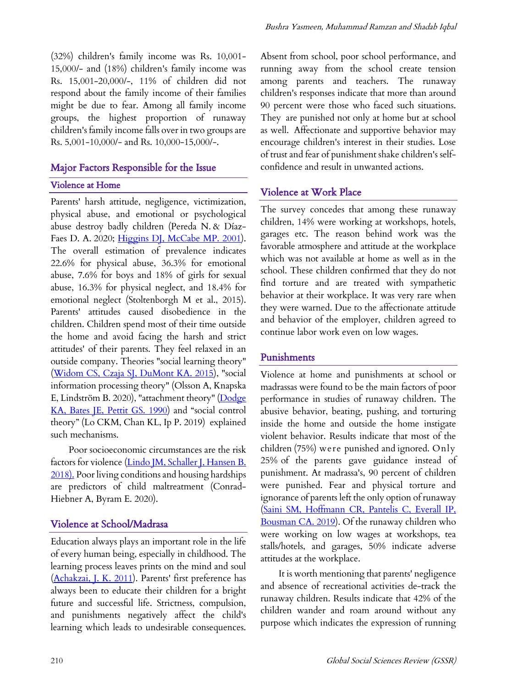(32%) children's family income was Rs. 10,001- 15,000/- and (18%) children's family income was Rs. 15,001-20,000/-, 11% of children did not respond about the family income of their families might be due to fear. Among all family income groups, the highest proportion of runaway children's family income falls over in two groups are Rs. 5,001-10,000/- and Rs. 10,000-15,000/-.

# Major Factors Responsible for the Issue

#### Violence at Home

Parents' harsh attitude, negligence, victimization, physical abuse, and emotional or psychological abuse destroy badly children (Pereda N. & Díaz-Faes D. A. 2020; *Higgins DJ, McCabe MP. 2001*). The overall estimation of prevalence indicates 22.6% for physical abuse, 36.3% for emotional abuse, 7.6% for boys and 18% of girls for sexual abuse, 16.3% for physical neglect, and 18.4% for emotional neglect (Stoltenborgh M et al., 2015). Parents' attitudes caused disobedience in the children. Children spend most of their time outside the home and avoid facing the harsh and strict attitudes' of their parents. They feel relaxed in an outside company. Theories "social learning theory" (Widom CS, Czaja SJ, DuMont KA. 2015), "social information processing theory" (Olsson A, Knapska E, Lindström B. 2020), "attachment theory" (Dodge KA, Bates JE, Pettit GS. 1990) and "social control theory" (Lo CKM, Chan KL, Ip P. 2019) explained such mechanisms.

Poor socioeconomic circumstances are the risk factors for violence (Lindo JM, Schaller J, Hansen B. 2018). Poor living conditions and housing hardships are predictors of child maltreatment (Conrad-Hiebner A, Byram E. 2020).

## Violence at School/Madrasa

Education always plays an important role in the life of every human being, especially in childhood. The learning process leaves prints on the mind and soul (Achakzai, J. K. 2011). Parents' first preference has always been to educate their children for a bright future and successful life. Strictness, compulsion, and punishments negatively affect the child's learning which leads to undesirable consequences.

Absent from school, poor school performance, and running away from the school create tension among parents and teachers. The runaway children's responses indicate that more than around 90 percent were those who faced such situations. They are punished not only at home but at school as well. Affectionate and supportive behavior may encourage children's interest in their studies. Lose of trust and fear of punishment shake children's selfconfidence and result in unwanted actions.

## Violence at Work Place

The survey concedes that among these runaway children, 14% were working at workshops, hotels, garages etc. The reason behind work was the favorable atmosphere and attitude at the workplace which was not available at home as well as in the school. These children confirmed that they do not find torture and are treated with sympathetic behavior at their workplace. It was very rare when they were warned. Due to the affectionate attitude and behavior of the employer, children agreed to continue labor work even on low wages.

#### Punishments

Violence at home and punishments at school or madrassas were found to be the main factors of poor performance in studies of runaway children. The abusive behavior, beating, pushing, and torturing inside the home and outside the home instigate violent behavior. Results indicate that most of the children (75%) were punished and ignored. Only 25% of the parents gave guidance instead of punishment. At madrassa's, 90 percent of children were punished. Fear and physical torture and ignorance of parents left the only option of runaway (Saini SM, Hoffmann CR, Pantelis C, Everall IP, Bousman CA. 2019). Of the runaway children who were working on low wages at workshops, tea stalls/hotels, and garages, 50% indicate adverse attitudes at the workplace.

It is worth mentioning that parents' negligence and absence of recreational activities de-track the runaway children. Results indicate that 42% of the children wander and roam around without any purpose which indicates the expression of running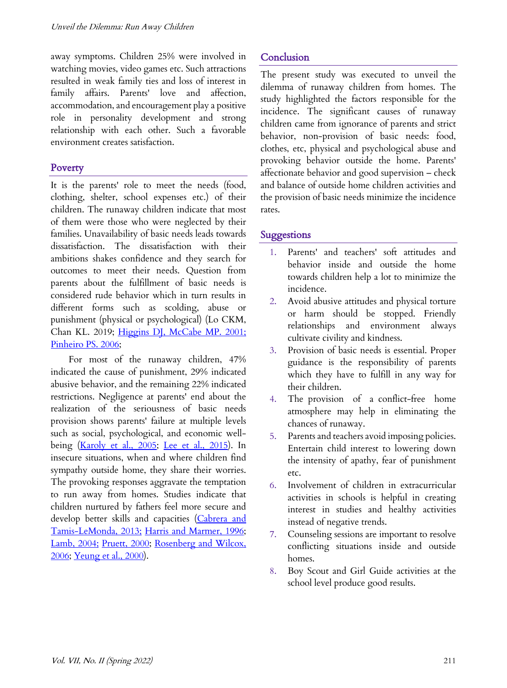away symptoms. Children 25% were involved in watching movies, video games etc. Such attractions resulted in weak family ties and loss of interest in family affairs. Parents' love and affection, accommodation, and encouragement play a positive role in personality development and strong relationship with each other. Such a favorable environment creates satisfaction.

#### **Poverty**

It is the parents' role to meet the needs (food, clothing, shelter, school expenses etc.) of their children. The runaway children indicate that most of them were those who were neglected by their families. Unavailability of basic needs leads towards dissatisfaction. The dissatisfaction with their ambitions shakes confidence and they search for outcomes to meet their needs. Question from parents about the fulfillment of basic needs is considered rude behavior which in turn results in different forms such as scolding, abuse or punishment (physical or psychological) (Lo CKM, Chan KL. 2019; Higgins DJ, McCabe MP. 2001; Pinheiro PS. 2006;

For most of the runaway children, 47% indicated the cause of punishment, 29% indicated abusive behavior, and the remaining 22% indicated restrictions. Negligence at parents' end about the realization of the seriousness of basic needs provision shows parents' failure at multiple levels such as social, psychological, and economic wellbeing (Karoly et al., 2005; Lee et al., 2015). In insecure situations, when and where children find sympathy outside home, they share their worries. The provoking responses aggravate the temptation to run away from homes. Studies indicate that children nurtured by fathers feel more secure and develop better skills and capacities (Cabrera and Tamis-LeMonda, 2013; Harris and Marmer, 1996; Lamb, 2004; Pruett, 2000; Rosenberg and Wilcox, 2006; Yeung et al., 2000).

# **Conclusion**

The present study was executed to unveil the dilemma of runaway children from homes. The study highlighted the factors responsible for the incidence. The significant causes of runaway children came from ignorance of parents and strict behavior, non-provision of basic needs: food, clothes, etc, physical and psychological abuse and provoking behavior outside the home. Parents' affectionate behavior and good supervision – check and balance of outside home children activities and the provision of basic needs minimize the incidence rates.

#### Suggestions

- 1. Parents' and teachers' soft attitudes and behavior inside and outside the home towards children help a lot to minimize the incidence.
- 2. Avoid abusive attitudes and physical torture or harm should be stopped. Friendly relationships and environment always cultivate civility and kindness.
- 3. Provision of basic needs is essential. Proper guidance is the responsibility of parents which they have to fulfill in any way for their children.
- 4. The provision of a conflict-free home atmosphere may help in eliminating the chances of runaway.
- 5. Parents and teachers avoid imposing policies. Entertain child interest to lowering down the intensity of apathy, fear of punishment etc.
- 6. Involvement of children in extracurricular activities in schools is helpful in creating interest in studies and healthy activities instead of negative trends.
- 7. Counseling sessions are important to resolve conflicting situations inside and outside homes.
- 8. Boy Scout and Girl Guide activities at the school level produce good results.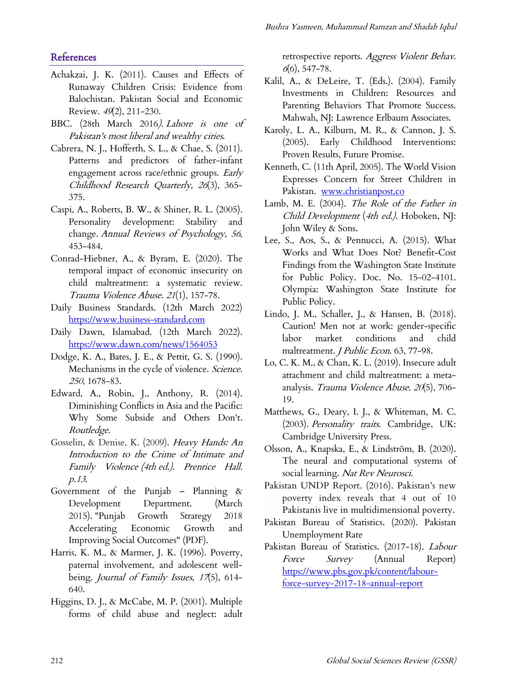## **References**

- Achakzai, J. K. (2011). Causes and Effects of Runaway Children Crisis: Evidence from Balochistan. Pakistan Social and Economic Review. 49(2), 211-230.
- BBC. (28th March 2016). Lahore is one of Pakistan's most liberal and wealthy cities.
- Cabrera, N. J., Hofferth, S. L., & Chae, S. (2011). Patterns and predictors of father-infant engagement across race/ethnic groups. Early Childhood Research Quarterly, 26(3), 365- 375.
- Caspi, A., Roberts, B. W., & Shiner, R. L. (2005). Personality development: Stability and change. Annual Reviews of Psychology, 56, 453-484.
- Conrad-Hiebner, A., & Byram, E. (2020). The temporal impact of economic insecurity on child maltreatment: a systematic review. Trauma Violence Abuse. <sup>21</sup>(1), 157-78.
- Daily Business Standards. (12th March 2022) https://www.business-standard.com
- Daily Dawn, Islamabad. (12th March 2022). https://www.dawn.com/news/1564053
- Dodge, K. A., Bates, J. E., & Pettit, G. S. (1990). Mechanisms in the cycle of violence. Science. <sup>250</sup>, 1678-83.
- Edward, A., Robin, J., Anthony, R. (2014). Diminishing Conflicts in Asia and the Pacific: Why Some Subside and Others Don't. Routledge.
- Gosselin, & Denise, K. (2009). Heavy Hands: An Introduction to the Crime of Intimate and Family Violence (4th ed.). Prentice Hall. p.13.
- Government of the Punjab Planning & Development Department. (March 2015). "Punjab Growth Strategy 2018 Accelerating Economic Growth and Improving Social Outcomes" (PDF).
- Harris, K. M., & Marmer, J. K. (1996). Poverty, paternal involvement, and adolescent wellbeing. Journal of Family Issues, 17(5), 614-640.
- Higgins, D. J., & McCabe, M. P. (2001). Multiple forms of child abuse and neglect: adult

retrospective reports. Aggress Violent Behav.  $6(6)$ , 547-78.

- Kalil, A., & DeLeire, T. (Eds.). (2004). Family Investments in Children: Resources and Parenting Behaviors That Promote Success. Mahwah, NJ: Lawrence Erlbaum Associates.
- Karoly, L. A., Kilburn, M. R., & Cannon, J. S. (2005). Early Childhood Interventions: Proven Results, Future Promise.
- Kenneth, C. (11th April, 2005). The World Vision Expresses Concern for Street Children in Pakistan. www.christianpost.co
- Lamb, M. E. (2004). The Role of the Father in Child Development (4th ed.). Hoboken, NJ: John Wiley & Sons.
- Lee, S., Aos, S., & Pennucci, A. (2015). What Works and What Does Not? Benefit-Cost Findings from the Washington State Institute for Public Policy. Doc. No. 15-02-4101. Olympia: Washington State Institute for Public Policy.
- Lindo, J. M., Schaller, J., & Hansen, B. (2018). Caution! Men not at work: gender-specific labor market conditions and child maltreatment. *J Public Econ*. 63, 77-98.
- Lo, C. K. M., & Chan, K. L. (2019). Insecure adult attachment and child maltreatment: a metaanalysis. Trauma Violence Abuse. <sup>20</sup>(5), 706- 19.
- Matthews, G., Deary, I. J., & Whiteman, M. C. (2003). Personality traits. Cambridge, UK: Cambridge University Press.
- Olsson, A., Knapska, E., & Lindström, B. (2020). The neural and computational systems of social learning. Nat Rev Neurosci.
- Pakistan UNDP Report. (2016). Pakistan's new poverty index reveals that 4 out of 10 Pakistanis live in multidimensional poverty.
- Pakistan Bureau of Statistics. (2020). Pakistan Unemployment Rate
- Pakistan Bureau of Statistics. (2017-18). Labour Force Survey (Annual Report) https://www.pbs.gov.pk/content/labourforce-survey-2017-18-annual-report